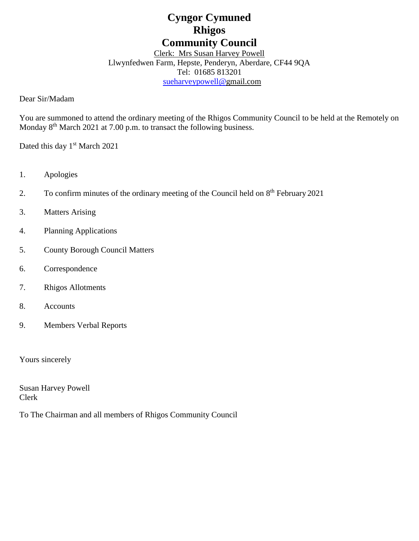# **Cyngor Cymuned Rhigos Community Council**

# Clerk: Mrs Susan Harvey Powell Llwynfedwen Farm, Hepste, Penderyn, Aberdare, CF44 9QA

Tel: 01685 813201

[sueharveypowell@g](mailto:sharveypowell@comin-infants.co.uk)mail.com

Dear Sir/Madam

You are summoned to attend the ordinary meeting of the Rhigos Community Council to be held at the Remotely on Monday 8<sup>th</sup> March 2021 at 7.00 p.m. to transact the following business.

Dated this day 1<sup>st</sup> March 2021

- 1. Apologies
- 2. To confirm minutes of the ordinary meeting of the Council held on 8<sup>th</sup> February 2021
- 3. Matters Arising
- 4. Planning Applications
- 5. County Borough Council Matters
- 6. Correspondence
- 7. Rhigos Allotments
- 8. Accounts
- 9. Members Verbal Reports

Yours sincerely

Susan Harvey Powell Clerk

To The Chairman and all members of Rhigos Community Council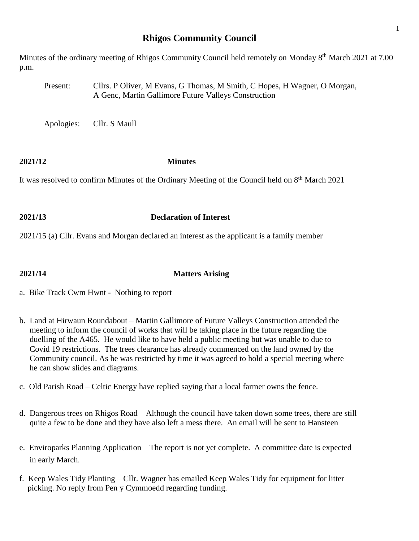## **Rhigos Community Council**

Minutes of the ordinary meeting of Rhigos Community Council held remotely on Monday 8<sup>th</sup> March 2021 at 7.00 p.m.

Present: Cllrs. P Oliver, M Evans, G Thomas, M Smith, C Hopes, H Wagner, O Morgan, A Genc, Martin Gallimore Future Valleys Construction

Apologies: Cllr. S Maull

## **2021/12 Minutes**

It was resolved to confirm Minutes of the Ordinary Meeting of the Council held on 8<sup>th</sup> March 2021

### **2021/13 Declaration of Interest**

2021/15 (a) Cllr. Evans and Morgan declared an interest as the applicant is a family member

### **2021/14 Matters Arising**

- a. Bike Track Cwm Hwnt Nothing to report
- b. Land at Hirwaun Roundabout Martin Gallimore of Future Valleys Construction attended the meeting to inform the council of works that will be taking place in the future regarding the duelling of the A465. He would like to have held a public meeting but was unable to due to Covid 19 restrictions. The trees clearance has already commenced on the land owned by the Community council. As he was restricted by time it was agreed to hold a special meeting where he can show slides and diagrams.
- c. Old Parish Road Celtic Energy have replied saying that a local farmer owns the fence.
- d. Dangerous trees on Rhigos Road Although the council have taken down some trees, there are still quite a few to be done and they have also left a mess there. An email will be sent to Hansteen
- e. Enviroparks Planning Application The report is not yet complete. A committee date is expected in early March.
- f. Keep Wales Tidy Planting Cllr. Wagner has emailed Keep Wales Tidy for equipment for litter picking. No reply from Pen y Cymmoedd regarding funding.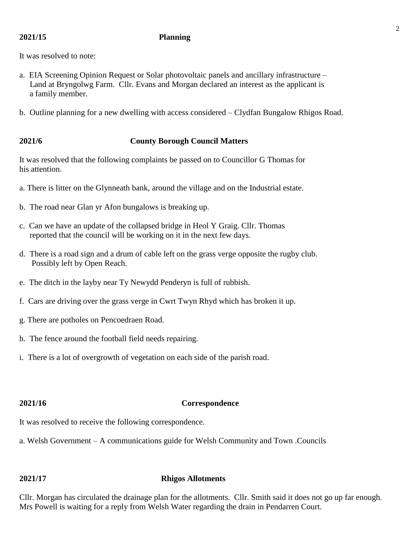### **2021/15 Planning**

It was resolved to note:

- a. EIA Screening Opinion Request or Solar photovoltaic panels and ancillary infrastructure Land at Bryngolwg Farm. Cllr. Evans and Morgan declared an interest as the applicant is a family member.
- b. Outline planning for a new dwelling with access considered Clydfan Bungalow Rhigos Road.

### **2021/6 County Borough Council Matters**

It was resolved that the following complaints be passed on to Councillor G Thomas for his attention.

- a. There is litter on the Glynneath bank, around the village and on the Industrial estate.
- b. The road near Glan yr Afon bungalows is breaking up.
- c. Can we have an update of the collapsed bridge in Heol Y Graig. Cllr. Thomas reported that the council will be working on it in the next few days.
- d. There is a road sign and a drum of cable left on the grass verge opposite the rugby club. Possibly left by Open Reach.
- e. The ditch in the layby near Ty Newydd Penderyn is full of rubbish.
- f. Cars are driving over the grass verge in Cwrt Twyn Rhyd which has broken it up.
- g. There are potholes on Pencoedraen Road.
- h. The fence around the football field needs repairing.
- i. There is a lot of overgrowth of vegetation on each side of the parish road.

### **2021/16 Correspondence**

It was resolved to receive the following correspondence.

a. Welsh Government – A communications guide for Welsh Community and Town .Councils

### **2021/17 Rhigos Allotments**

Cllr. Morgan has circulated the drainage plan for the allotments. Cllr. Smith said it does not go up far enough. Mrs Powell is waiting for a reply from Welsh Water regarding the drain in Pendarren Court.